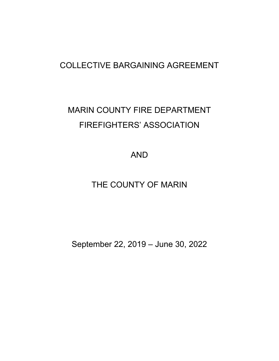## COLLECTIVE BARGAINING AGREEMENT

# MARIN COUNTY FIRE DEPARTMENT FIREFIGHTERS' ASSOCIATION

AND

THE COUNTY OF MARIN

September 22, 2019 – June 30, 2022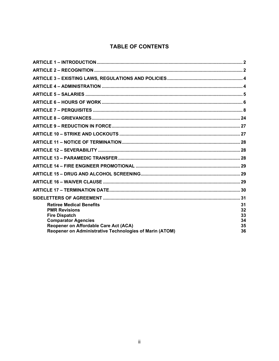## **TABLE OF CONTENTS**

| <b>Retiree Medical Benefits</b><br><b>PMR Revisions</b> | 31<br>32 |
|---------------------------------------------------------|----------|
| <b>Fire Dispatch</b>                                    | 33       |
| <b>Comparator Agencies</b>                              | 34       |
| Reopener on Affordable Care Act (ACA)                   | 35       |
| Reopener on Administrative Technologies of Marin (ATOM) | 36       |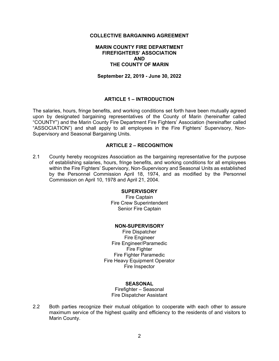#### **COLLECTIVE BARGAINING AGREEMENT**

#### **MARIN COUNTY FIRE DEPARTMENT FIREFIGHTERS' ASSOCIATION AND THE COUNTY OF MARIN**

**September 22, 2019 - June 30, 2022** 

## **ARTICLE 1 – INTRODUCTION**

The salaries, hours, fringe benefits, and working conditions set forth have been mutually agreed upon by designated bargaining representatives of the County of Marin (hereinafter called "COUNTY") and the Marin County Fire Department Fire Fighters' Association (hereinafter called "ASSOCIATION") and shall apply to all employees in the Fire Fighters' Supervisory, Non-Supervisory and Seasonal Bargaining Units.

#### **ARTICLE 2 – RECOGNITION**

2.1 County hereby recognizes Association as the bargaining representative for the purpose of establishing salaries, hours, fringe benefits, and working conditions for all employees within the Fire Fighters' Supervisory, Non-Supervisory and Seasonal Units as established by the Personnel Commission April 18, 1974, and as modified by the Personnel Commission on April 10, 1978 and April 21, 2004.

#### **SUPERVISORY**

Fire Captain Fire Crew Superintendent Senior Fire Captain

#### **NON-SUPERVISORY**

Fire Dispatcher Fire Engineer Fire Engineer/Paramedic **Fire Fighter** Fire Fighter Paramedic Fire Heavy Equipment Operator Fire Inspector

#### **SEASONAL**

Firefighter – Seasonal Fire Dispatcher Assistant

2.2 Both parties recognize their mutual obligation to cooperate with each other to assure maximum service of the highest quality and efficiency to the residents of and visitors to Marin County.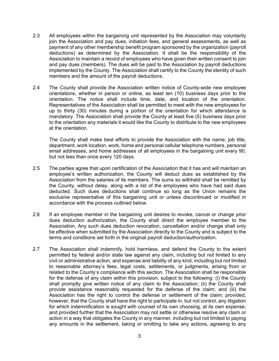- 2.3 All employees within the bargaining unit represented by the Association may voluntarily join the Association and pay dues, initiation fees, and general assessments, as well as payment of any other membership benefit program sponsored by the organization (payroll deductions) as determined by the Association. It shall be the responsibility of the Association to maintain a record of employees who have given their written consent to join and pay dues (members). The dues will be paid to the Association by payroll deductions implemented by the County. The Association shall certify to the County the identity of such members and the amount of the payroll deductions.
- 2.4 The County shall provide the Association written notice of County-wide new employee orientations, whether in person or online, as least ten (10) business days prior to the orientation. The notice shall include time, date, and location of the orientation. Representatives of the Association shall be permitted to meet with the new employees for up to thirty (30) minutes during a portion of the orientation for which attendance is mandatory. The Association shall provide the County at least five (5) business days prior to the orientation any materials it would like the County to distribute to the new employees at the orientation.

The County shall make best efforts to provide the Association with the name, job title, department, work location, work, home and personal cellular telephone numbers, personal email addresses, and home addresses of all employees in the bargaining unit every 90, but not less than once every 120 days.

- 2.5 The parties agree that upon certification of the Association that it has and will maintain an employee's written authorization, the County will deduct dues as established by the Association from the salaries of its members. The sums so withheld shall be remitted by the County, without delay, along with a list of the employees who have had said dues deducted. Such dues deductions shall continue so long as the Union remains the exclusive representative of this bargaining unit or unless discontinued or modified in accordance with the process outlined below.
- 2.6 If an employee member in the bargaining unit desires to revoke, cancel or change prior dues deduction authorization, the County shall direct the employee member to the Association. Any such dues deduction revocation, cancellation and/or change shall only be effective when submitted by the Association directly to the County and is subject to the terms and conditions set forth in the original payroll deduction/authorization.
- 2.7 The Association shall indemnify, hold harmless, and defend the County to the extent permitted by federal and/or state law against any claim, including but not limited to any civil or administrative action, and expense and liability of any kind, including but not limited to reasonable attorney's fees, legal costs, settlements, or judgments, arising from or related to the County's compliance with this section. The Association shall be responsible for the defense of any claim within this provision, subject to the following: (i) the County shall promptly give written notice of any claim to the Association; (ii) the County shall provide assistance reasonably requested for the defense of the claim; and (iii) the Association has the right to control the defense or settlement of the claim; provided, however, that the County shall have the right to participate in, but not control, any litigation for which indemnification is sought with counsel of its own choosing, at its own expense; and provided further that the Association may not settle or otherwise resolve any claim or action in a way that obligates the County in any manner, including but not limited to paying any amounts in the settlement, taking or omitting to take any actions, agreeing to any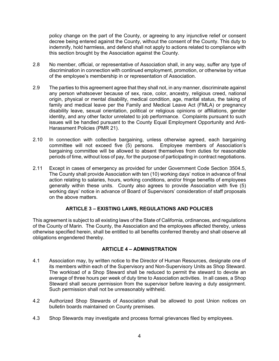policy change on the part of the County, or agreeing to any injunctive relief or consent decree being entered against the County, without the consent of the County. This duty to indemnify, hold harmless, and defend shall not apply to actions related to compliance with this section brought by the Association against the County.

- 2.8 No member, official, or representative of Association shall, in any way, suffer any type of discrimination in connection with continued employment, promotion, or otherwise by virtue of the employee's membership in or representation of Association.
- 2.9 The parties to this agreement agree that they shall not, in any manner, discriminate against any person whatsoever because of sex, race, color, ancestry, religious creed, national origin, physical or mental disability, medical condition, age, marital status, the taking of family and medical leave per the Family and Medical Leave Act (FMLA) or pregnancy disability leave, sexual orientation, political or religious opinions or affiliations, gender identity, and any other factor unrelated to job performance. Complaints pursuant to such issues will be handled pursuant to the County Equal Employment Opportunity and Anti-Harassment Policies (PMR 21).
- 2.10 In connection with collective bargaining, unless otherwise agreed, each bargaining committee will not exceed five (5) persons. Employee members of Association's bargaining committee will be allowed to absent themselves from duties for reasonable periods of time, without loss of pay, for the purpose of participating in contract negotiations.
- 2.11 Except in cases of emergency as provided for under Government Code Section 3504.5, The County shall provide Association with ten (10) working days' notice in advance of final action relating to salaries, hours, working conditions, and/or fringe benefits of employees generally within these units. County also agrees to provide Association with five (5) working days' notice in advance of Board of Supervisors' consideration of staff proposals on the above matters.

## **ARTICLE 3 – EXISTING LAWS, REGULATIONS AND POLICIES**

This agreement is subject to all existing laws of the State of California, ordinances, and regulations of the County of Marin. The County, the Association and the employees affected thereby, unless otherwise specified herein, shall be entitled to all benefits conferred thereby and shall observe all obligations engendered thereby.

## **ARTICLE 4 – ADMINISTRATION**

- 4.1 Association may, by written notice to the Director of Human Resources, designate one of its members within each of the Supervisory and Non-Supervisory Units as Shop Steward. The workload of a Shop Steward shall be reduced to permit the steward to devote an average of three hours per week of duty time to Association activities. In all cases, a Shop Steward shall secure permission from the supervisor before leaving a duty assignment. Such permission shall not be unreasonably withheld.
- 4.2 Authorized Shop Stewards of Association shall be allowed to post Union notices on bulletin boards maintained on County premises.
- 4.3 Shop Stewards may investigate and process formal grievances filed by employees.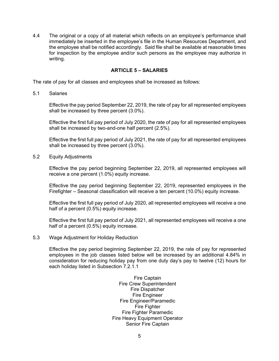4.4 The original or a copy of all material which reflects on an employee's performance shall immediately be inserted in the employee's file in the Human Resources Department, and the employee shall be notified accordingly. Said file shall be available at reasonable times for inspection by the employee and/or such persons as the employee may authorize in writing.

## **ARTICLE 5 – SALARIES**

The rate of pay for all classes and employees shall be increased as follows:

5.1 Salaries

Effective the pay period September 22, 2019, the rate of pay for all represented employees shall be increased by three percent (3.0%).

Effective the first full pay period of July 2020, the rate of pay for all represented employees shall be increased by two-and-one half percent (2.5%).

Effective the first full pay period of July 2021, the rate of pay for all represented employees shall be increased by three percent (3.0%).

5.2 Equity Adjustments

Effective the pay period beginning September 22, 2019, all represented employees will receive a one percent (1.0%) equity increase.

Effective the pay period beginning September 22, 2019, represented employees in the Firefighter – Seasonal classification will receive a ten percent (10.0%) equity increase.

Effective the first full pay period of July 2020, all represented employees will receive a one half of a percent (0.5%) equity increase.

Effective the first full pay period of July 2021, all represented employees will receive a one half of a percent (0.5%) equity increase.

5.3 Wage Adjustment for Holiday Reduction

Effective the pay period beginning September 22, 2019, the rate of pay for represented employees in the job classes listed below will be increased by an additional 4.84% in consideration for reducing holiday pay from one duty day's pay to twelve (12) hours for each holiday listed in Subsection 7.2.1.1

> Fire Captain Fire Crew Superintendent Fire Dispatcher Fire Engineer Fire Engineer/Paramedic Fire Fighter Fire Fighter Paramedic Fire Heavy Equipment Operator Senior Fire Captain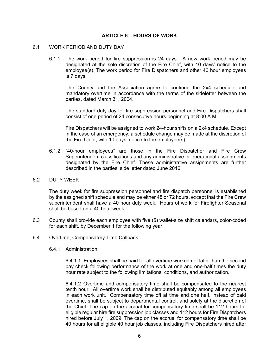#### **ARTICLE 6 – HOURS OF WORK**

#### 6.1 WORK PERIOD AND DUTY DAY

6.1.1 The work period for fire suppression is 24 days. A new work period may be designated at the sole discretion of the Fire Chief, with 10 days' notice to the employee(s). The work period for Fire Dispatchers and other 40 hour employees is 7 days.

The County and the Association agree to continue the 2x4 schedule and mandatory overtime in accordance with the terms of the sideletter between the parties, dated March 31, 2004.

The standard duty day for fire suppression personnel and Fire Dispatchers shall consist of one period of 24 consecutive hours beginning at 8:00 A.M.

Fire Dispatchers will be assigned to work 24-hour shifts on a 2x4 schedule. Except in the case of an emergency, a schedule change may be made at the discretion of the Fire Chief, with 10 days' notice to the employee(s).

6.1.2 "40-hour employees" are those in the Fire Dispatcher and Fire Crew Superintendent classifications and any administrative or operational assignments designated by the Fire Chief. These administrative assignments are further described in the parties' side letter dated June 2016.

#### 6.2 DUTY WEEK

The duty week for fire suppression personnel and fire dispatch personnel is established by the assigned shift schedule and may be either 48 or 72 hours, except that the Fire Crew superintendent shall have a 40 hour duty week. Hours of work for Firefighter Seasonal shall be based on a 40 hour week.

- 6.3 County shall provide each employee with five (5) wallet-size shift calendars, color-coded for each shift, by December 1 for the following year.
- 6.4 Overtime, Compensatory Time Callback
	- 6.4.1 Administration

6.4.1.1 Employees shall be paid for all overtime worked not later than the second pay check following performance of the work at one and one-half times the duty hour rate subject to the following limitations, conditions, and authorization.

6.4.1.2 Overtime and compensatory time shall be compensated to the nearest tenth hour. All overtime work shall be distributed equitably among all employees in each work unit. Compensatory time off at time and one half, instead of paid overtime, shall be subject to departmental control, and solely at the discretion of the Chief. The cap on the accrual for compensatory time shall be 112 hours for eligible regular hire fire suppression job classes and 112 hours for Fire Dispatchers hired before July 1, 2009. The cap on the accrual for compensatory time shall be 40 hours for all eligible 40 hour job classes, including Fire Dispatchers hired after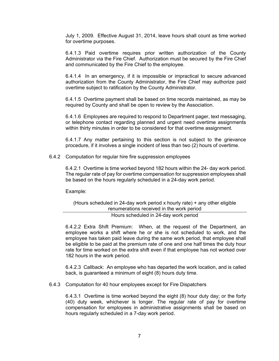July 1, 2009. Effective August 31, 2014, leave hours shall count as time worked for overtime purposes.

6.4.1.3 Paid overtime requires prior written authorization of the County Administrator via the Fire Chief. Authorization must be secured by the Fire Chief and communicated by the Fire Chief to the employee.

6.4.1.4 In an emergency, if it is impossible or impractical to secure advanced authorization from the County Administrator, the Fire Chief may authorize paid overtime subject to ratification by the County Administrator.

6.4.1.5 Overtime payment shall be based on time records maintained, as may be required by County and shall be open to review by the Association.

6.4.1.6 Employees are required to respond to Department pager, text messaging, or telephone contact regarding planned and urgent need overtime assignments within thirty minutes in order to be considered for that overtime assignment.

6.4.1.7 Any matter pertaining to this section is not subject to the grievance procedure, if it involves a single incident of less than two (2) hours of overtime.

#### 6.4.2 Computation for regular hire fire suppression employees

6.4.2.1 Overtime is time worked beyond 182 hours within the 24- day work period. The regular rate of pay for overtime compensation for suppression employees shall be based on the hours regularly scheduled in a 24-day work period.

Example:

(Hours scheduled in 24-day work period x hourly rate) + any other eligible renumerations received in the work period

Hours scheduled in 24-day work period

6.4.2.2 Extra Shift Premium: When, at the request of the Department, an employee works a shift where he or she is not scheduled to work, and the employee has taken paid leave during the same work period, that employee shall be eligible to be paid at the premium rate of one and one half times the duty hour rate for time worked on the extra shift even if that employee has not worked over 182 hours in the work period.

6.4.2.3 Callback: An employee who has departed the work location, and is called back, is guaranteed a minimum of eight (8) hours duty time.

6.4.3 Computation for 40 hour employees except for Fire Dispatchers

6.4.3.1 Overtime is time worked beyond the eight (8) hour duty day; or the forty (40) duty week, whichever is longer. The regular rate of pay for overtime compensation for employees in administrative assignments shall be based on hours regularly scheduled in a 7-day work period.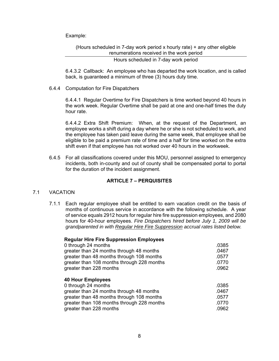Example:

(Hours scheduled in 7-day work period x hourly rate) + any other eligible renumerations received in the work period

Hours scheduled in 7-day work period

6.4.3.2 Callback: An employee who has departed the work location, and is called back, is guaranteed a minimum of three (3) hours duty time.

6.4.4 Computation for Fire Dispatchers

6.4.4.1 Regular Overtime for Fire Dispatchers is time worked beyond 40 hours in the work week. Regular Overtime shall be paid at one and one-half times the duty hour rate.

6.4.4.2 Extra Shift Premium: When, at the request of the Department, an employee works a shift during a day where he or she is not scheduled to work, and the employee has taken paid leave during the same week, that employee shall be eligible to be paid a premium rate of time and a half for time worked on the extra shift even if that employee has not worked over 40 hours in the workweek.

6.4.5 For all classifications covered under this MOU, personnel assigned to emergency incidents, both in-county and out of county shall be compensated portal to portal for the duration of the incident assignment.

## **ARTICLE 7 – PERQUISITES**

#### 7.1 VACATION

7.1.1 Each regular employee shall be entitled to earn vacation credit on the basis of months of continuous service in accordance with the following schedule. A year of service equals 2912 hours for regular hire fire suppression employees, and 2080 hours for 40-hour employees. *Fire Dispatchers hired before July 1, 2009 will be grandparented in with Regular Hire Fire Suppression accrual rates listed below.* 

| <b>Regular Hire Fire Suppression Employees</b> |       |
|------------------------------------------------|-------|
| 0 through 24 months                            | .0385 |
| greater than 24 months through 48 months       | .0467 |
| greater than 48 months through 108 months      | .0577 |
| greater than 108 months through 228 months     | .0770 |
| greater than 228 months                        | .0962 |
|                                                |       |
| <b>40 Hour Employees</b>                       |       |
| 0 through 24 months                            | .0385 |
| greater than 24 months through 48 months       | .0467 |
|                                                |       |
| greater than 48 months through 108 months      | .0577 |
| greater than 108 months through 228 months     | .0770 |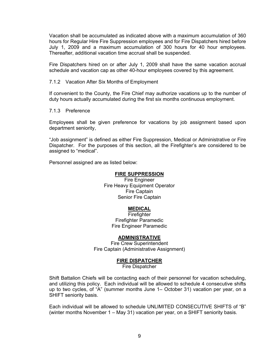Vacation shall be accumulated as indicated above with a maximum accumulation of 360 hours for Regular Hire Fire Suppression employees and for Fire Dispatchers hired before July 1, 2009 and a maximum accumulation of 300 hours for 40 hour employees. Thereafter, additional vacation time accrual shall be suspended.

Fire Dispatchers hired on or after July 1, 2009 shall have the same vacation accrual schedule and vacation cap as other 40-hour employees covered by this agreement.

#### 7.1.2 Vacation After Six Months of Employment

If convenient to the County, the Fire Chief may authorize vacations up to the number of duty hours actually accumulated during the first six months continuous employment.

#### 7.1.3 Preference

Employees shall be given preference for vacations by job assignment based upon department seniority,

"Job assignment" is defined as either Fire Suppression, Medical or Administrative or Fire Dispatcher. For the purposes of this section, all the Firefighter's are considered to be assigned to "medical".

Personnel assigned are as listed below:

## **FIRE SUPPRESSION**

Fire Engineer Fire Heavy Equipment Operator Fire Captain Senior Fire Captain

#### **MEDICAL**

**Firefighter** Firefighter Paramedic Fire Engineer Paramedic

#### **ADMINISTRATIVE**

Fire Crew Superintendent Fire Captain (Administrative Assignment)

#### **FIRE DISPATCHER**

Fire Dispatcher

Shift Battalion Chiefs will be contacting each of their personnel for vacation scheduling, and utilizing this policy. Each individual will be allowed to schedule 4 consecutive shifts up to two cycles, of "A" (summer months June 1– October 31) vacation per year, on a SHIFT seniority basis.

Each individual will be allowed to schedule UNLIMITED CONSECUTIVE SHIFTS of "B" (winter months November 1 – May 31) vacation per year, on a SHIFT seniority basis.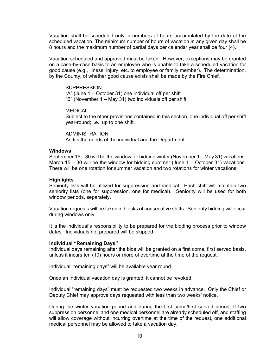Vacation shall be scheduled only in numbers of hours accumulated by the date of the scheduled vacation. The minimum number of hours of vacation in any given day shall be 8 hours and the maximum number of partial days per calendar year shall be four (4).

Vacation scheduled and approved must be taken. However, exceptions may be granted on a case-by-case basis to an employee who is unable to take a scheduled vacation for good cause (e.g., illness, injury, etc. to employee or family member). The determination, by the County, of whether good cause exists shall be made by the Fire Chief.

**SUPPRESSION** "A" (June 1 – October 31) one individual off per shift "B" (November 1 – May 31) two individuals off per shift

MEDICAL

Subject to the other provisions contained in this section, one individual off per shift year-round; i.e., up to one shift.

ADMINISTRATION As fits the needs of the individual and the Department.

#### **Windows**

September 15 – 30 will be the window for bidding winter (November 1 – May 31) vacations. March  $15 - 30$  will be the window for bidding summer (June  $1 -$  October 31) vacations. There will be one rotation for summer vacation and two rotations for winter vacations.

#### **Highlights**

Seniority lists will be utilized for suppression and medical. Each shift will maintain two seniority lists (one for suppression, one for medical). Seniority will be used for both window periods, separately.

Vacation requests will be taken in blocks of consecutive shifts. Seniority bidding will occur during windows only.

It is the individual's responsibility to be prepared for the bidding process prior to window dates. Individuals not prepared will be skipped.

#### **Individual "Remaining Days"**

Individual days remaining after the bids will be granted on a first come, first served basis, unless it incurs ten (10) hours or more of overtime at the time of the request.

Individual "remaining days" will be available year round.

Once an individual vacation day is granted, it cannot be revoked.

Individual "remaining days" must be requested two weeks in advance. Only the Chief or Deputy Chief may approve days requested with less than two weeks' notice.

During the winter vacation period and during the first come/first served period, If two suppression personnel and one medical personnel are already scheduled off, and staffing will allow coverage without incurring overtime at the time of the request, one additional medical personnel may be allowed to take a vacation day.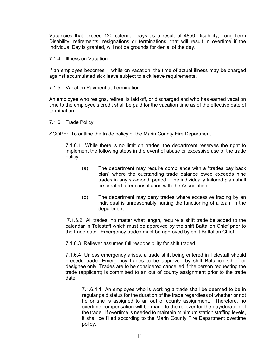Vacancies that exceed 120 calendar days as a result of 4850 Disability, Long-Term Disability, retirements, resignations or terminations, that will result in overtime if the Individual Day is granted, will not be grounds for denial of the day.

#### 7.1.4 Illness on Vacation

If an employee becomes ill while on vacation, the time of actual illness may be charged against accumulated sick leave subject to sick leave requirements.

#### 7.1.5 Vacation Payment at Termination

An employee who resigns, retires, is laid off, or discharged and who has earned vacation time to the employee's credit shall be paid for the vacation time as of the effective date of termination.

#### 7.1.6 Trade Policy

SCOPE: To outline the trade policy of the Marin County Fire Department

7.1.6.1 While there is no limit on trades, the department reserves the right to implement the following steps in the event of abuse or excessive use of the trade policy:

- (a) The department may require compliance with a "trades pay back plan" where the outstanding trade balance owed exceeds nine trades in any six-month period. The individually tailored plan shall be created after consultation with the Association.
- (b) The department may deny trades where excessive trading by an individual is unreasonably hurting the functioning of a team in the department.

 7.1.6.2 All trades, no matter what length, require a shift trade be added to the calendar in Telestaff which must be approved by the shift Battalion Chief prior to the trade date. Emergency trades must be approved by shift Battalion Chief.

7.1.6.3 Reliever assumes full responsibility for shift traded.

7.1.6.4 Unless emergency arises, a trade shift being entered in Telestaff should precede trade. Emergency trades to be approved by shift Battalion Chief or designee only. Trades are to be considered cancelled if the person requesting the trade (applicant) is committed to an out of county assignment prior to the trade date.

7.1.6.4.1 An employee who is working a trade shall be deemed to be in regular paid status for the duration of the trade regardless of whether or not he or she is assigned to an out of county assignment. Therefore, no overtime compensation will be made to the reliever for the day/duration of the trade. If overtime is needed to maintain minimum station staffing levels, it shall be filled according to the Marin County Fire Department overtime policy.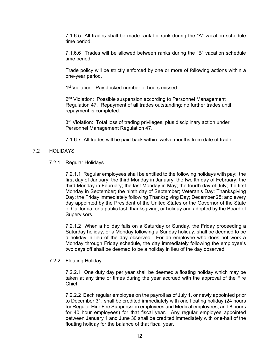7.1.6.5 All trades shall be made rank for rank during the "A" vacation schedule time period.

7.1.6.6 Trades will be allowed between ranks during the "B" vacation schedule time period.

Trade policy will be strictly enforced by one or more of following actions within a one-year period.

1<sup>st</sup> Violation: Pay docked number of hours missed.

2<sup>nd</sup> Violation: Possible suspension according to Personnel Management Regulation 47. Repayment of all trades outstanding; no further trades until repayment is completed.

3<sup>rd</sup> Violation: Total loss of trading privileges, plus disciplinary action under Personnel Management Regulation 47.

7.1.6.7 All trades will be paid back within twelve months from date of trade.

#### 7.2 HOLIDAYS

7.2.1 Regular Holidays

7.2.1.1 Regular employees shall be entitled to the following holidays with pay: the first day of January; the third Monday in January; the twelfth day of February; the third Monday in February; the last Monday in May; the fourth day of July; the first Monday in September; the ninth day of September; Veteran's Day; Thanksgiving Day; the Friday immediately following Thanksgiving Day; December 25; and every day appointed by the President of the United States or the Governor of the State of California for a public fast, thanksgiving, or holiday and adopted by the Board of Supervisors.

7.2.1.2 When a holiday falls on a Saturday or Sunday, the Friday proceeding a Saturday holiday, or a Monday following a Sunday holiday, shall be deemed to be a holiday in lieu of the day observed. For an employee who does not work a Monday through Friday schedule, the day immediately following the employee's two days off shall be deemed to be a holiday in lieu of the day observed.

#### 7.2.2 Floating Holiday

7.2.2.1 One duty day per year shall be deemed a floating holiday which may be taken at any time or times during the year accrued with the approval of the Fire Chief.

7.2.2.2 Each regular employee on the payroll as of July 1, or newly appointed prior to December 31, shall be credited immediately with one floating holiday (24 hours for Regular Hire Fire Suppression employees and Medical employees, and 8 hours for 40 hour employees) for that fiscal year. Any regular employee appointed between January 1 and June 30 shall be credited immediately with one-half of the floating holiday for the balance of that fiscal year.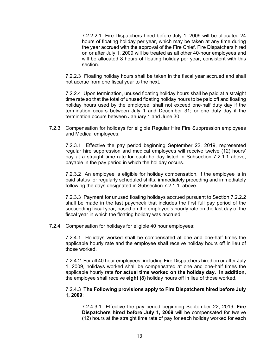7.2.2.2.1 Fire Dispatchers hired before July 1, 2009 will be allocated 24 hours of floating holiday per year, which may be taken at any time during the year accrued with the approval of the Fire Chief. Fire Dispatchers hired on or after July 1, 2009 will be treated as all other 40-hour employees and will be allocated 8 hours of floating holiday per year, consistent with this section.

7.2.2.3 Floating holiday hours shall be taken in the fiscal year accrued and shall not accrue from one fiscal year to the next.

7.2.2.4 Upon termination, unused floating holiday hours shall be paid at a straight time rate so that the total of unused floating holiday hours to be paid off and floating holiday hours used by the employee, shall not exceed one-half duty day if the termination occurs between July 1 and December 31; or one duty day if the termination occurs between January 1 and June 30.

7.2.3 Compensation for holidays for eligible Regular Hire Fire Suppression employees and Medical employees:

7.2.3.1 Effective the pay period beginning September 22, 2019, represented regular hire suppression and medical employees will receive twelve (12) hours' pay at a straight time rate for each holiday listed in Subsection 7.2.1.1 above, payable in the pay period in which the holiday occurs.

7.2.3.2 An employee is eligible for holiday compensation, if the employee is in paid status for regularly scheduled shifts, immediately preceding and immediately following the days designated in Subsection 7.2.1.1. above.

7.2.3.3 Payment for unused floating holidays accrued pursuant to Section 7.2.2.2 shall be made in the last paycheck that includes the first full pay period of the succeeding fiscal year, based on the employee's hourly rate on the last day of the fiscal year in which the floating holiday was accrued.

7.2.4 Compensation for holidays for eligible 40 hour employees:

7.2.4.1 Holidays worked shall be compensated at one and one-half times the applicable hourly rate and the employee shall receive holiday hours off in lieu of those worked.

7.2.4.2 For all 40 hour employees, including Fire Dispatchers hired on or after July 1, 2009, holidays worked shall be compensated at one and one-half times the applicable hourly rate **for actual time worked on the holiday day. In addition,**  the employee shall receive **eight (8)** holiday hours off in lieu of those worked.

#### 7.2.4.3 **The Following provisions apply to Fire Dispatchers hired before July 1, 2009**:

7.2.4.3.1 Effective the pay period beginning September 22, 2019, **Fire Dispatchers hired before July 1, 2009** will be compensated for twelve (12) hours at the straight time rate of pay for each holiday worked for each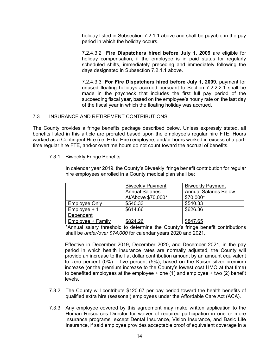holiday listed in Subsection 7.2.1.1 above and shall be payable in the pay period in which the holiday occurs.

7.2.4.3.2 **Fire Dispatchers hired before July 1, 2009** are eligible for holiday compensation, if the employee is in paid status for regularly scheduled shifts, immediately preceding and immediately following the days designated in Subsection 7.2.1.1 above.

7.2.4.3.3 **For Fire Dispatchers hired before July 1, 2009**, payment for unused floating holidays accrued pursuant to Section 7.2.2.2.1 shall be made in the paycheck that includes the first full pay period of the succeeding fiscal year, based on the employee's hourly rate on the last day of the fiscal year in which the floating holiday was accrued.

## 7.3 INSURANCE AND RETIREMENT CONTRIBUTIONS

The County provides a fringe benefits package described below. Unless expressly stated, all benefits listed in this article are prorated based upon the employee's regular hire FTE. Hours worked as a Contingent Hire (i.e. Extra Hire) employee, and/or hours worked in excess of a parttime regular hire FTE, and/or overtime hours do not count toward the accrual of benefits.

## 7.3.1 Biweekly Fringe Benefits

In calendar year 2019, the County's Biweekly fringe benefit contribution for regular hire employees enrolled in a County medical plan shall be:

|                      | <b>Biweekly Payment</b> | <b>Biweekly Payment</b>      |
|----------------------|-------------------------|------------------------------|
|                      | <b>Annual Salaries</b>  | <b>Annual Salaries Below</b> |
|                      | At/Above \$70,000*      | \$70,000*                    |
| <b>Employee Only</b> | \$540.33                | \$540.33                     |
| $Employee + 1$       | \$614.66                | \$626.36                     |
| Dependent            |                         |                              |
| Employee + Family    | \$824.26                | \$847.65                     |

\*Annual salary threshold to determine the County's fringe benefit contributions shall be *under/over \$74,000* for calendar years 2020 and 2021.

Effective in December 2019, December 2020, and December 2021, in the pay period in which health insurance rates are normally adjusted, the County will provide an increase to the flat dollar contribution amount by an amount equivalent to zero percent (0%) – five percent (5%), based on the Kaiser silver premium increase (or the premium increase to the County's lowest cost HMO at that time) to benefited employees at the employee  $+$  one (1) and employee  $+$  two (2) benefit levels.

- 7.3.2 The County will contribute \$120.67 per pay period toward the health benefits of qualified extra hire (seasonal) employees under the Affordable Care Act (ACA).
- 7.3.3 Any employee covered by this agreement may make written application to the Human Resources Director for waiver of required participation in one or more insurance programs, except Dental Insurance, Vision Insurance, and Basic Life Insurance, if said employee provides acceptable proof of equivalent coverage in a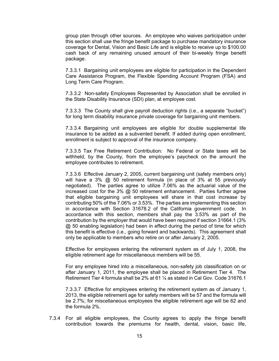group plan through other sources. An employee who waives participation under this section shall use the fringe benefit package to purchase mandatory insurance coverage for Dental, Vision and Basic Life and is eligible to receive up to \$100.00 cash back of any remaining unused amount of their bi-weekly fringe benefit package.

7.3.3.1 Bargaining unit employees are eligible for participation in the Dependent Care Assistance Program, the Flexible Spending Account Program (FSA) and Long Term Care Program.

7.3.3.2 Non-safety Employees Represented by Association shall be enrolled in the State Disability Insurance (SDI) plan, at employee cost.

7.3.3.3 The County shall give payroll deduction rights (i.e., a separate "bucket") for long term disability insurance private coverage for bargaining unit members.

7.3.3.4 Bargaining unit employees are eligible for double supplemental life insurance to be added as a subvented benefit. If added during open enrollment, enrollment is subject to approval of the insurance company.

7.3.3.5 Tax Free Retirement Contribution: No Federal or State taxes will be withheld, by the County, from the employee's paycheck on the amount the employee contributes to retirement.

7.3.3.6 Effective January 2, 2005, current bargaining unit (safety members only) will have a 3% @ 50 retirement formula (in place of 3% at 55 previously negotiated). The parties agree to utilize 7.06% as the actuarial value of the increased cost for the  $3\%$  @ 50 retirement enhancement. Parties further agree that eligible bargaining unit employees will share in that cost increase by contributing 50% of the 7.06% or 3.53%. The parties are implementing this section in accordance with Section 31678.2 of the California government code. In accordance with this section, members shall pay the 3.53% as part of the contribution by the employer that would have been required if section 31664.1 (3% @ 50 enabling legislation) had been in effect during the period of time for which this benefit is effective (i.e., going forward and backwards). This agreement shall only be applicable to members who retire on or after January 2, 2005.

Effective for employees entering the retirement system as of July 1, 2008, the eligible retirement age for miscellaneous members will be 55.

For any employee hired into a miscellaneous, non-safety job classification on or after January 1, 2011, the employee shall be placed in Retirement Tier 4. The Retirement Tier 4 formula shall be 2% at 61 ¼ as stated in Cal Gov. Code 31676.1

7.3.3.7 Effective for employees entering the retirement system as of January 1, 2013, the eligible retirement age for safety members will be 57 and the formula will be 2.7%; for miscellaneous employees the eligible retirement age will be 62 and the formula 2%.

7.3.4 For all eligible employees, the County agrees to apply the fringe benefit contribution towards the premiums for health, dental, vision, basic life,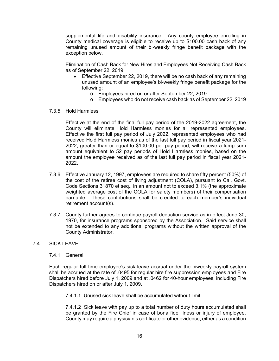supplemental life and disability insurance. Any county employee enrolling in County medical coverage is eligible to receive up to \$100.00 cash back of any remaining unused amount of their bi-weekly fringe benefit package with the exception below.

Elimination of Cash Back for New Hires and Employees Not Receiving Cash Back as of September 22, 2019:

- Effective September 22, 2019, there will be no cash back of any remaining unused amount of an employee's bi-weekly fringe benefit package for the following:
	- o Employees hired on or after September 22, 2019
	- o Employees who do not receive cash back as of September 22, 2019
- 7.3.5 Hold Harmless

Effective at the end of the final full pay period of the 2019-2022 agreement, the County will eliminate Hold Harmless monies for all represented employees. Effective the first full pay period of July 2022, represented employees who had received Hold Harmless monies as of the last full pay period in fiscal year 2021- 2022, greater than or equal to \$100.00 per pay period, will receive a lump sum amount equivalent to 52 pay periods of Hold Harmless monies, based on the amount the employee received as of the last full pay period in fiscal year 2021- 2022.

- 7.3.6 Effective January 12, 1997, employees are required to share fifty percent (50%) of the cost of the retiree cost of living adjustment (COLA), pursuant to Cal. Govt. Code Sections 31870 et seq., in an amount not to exceed 3.1% (the approximate weighted average cost of the COLA for safety members) of their compensation earnable. These contributions shall be credited to each member's individual retirement account(s).
- 7.3.7 County further agrees to continue payroll deduction service as in effect June 30, 1970, for insurance programs sponsored by the Association. Said service shall not be extended to any additional programs without the written approval of the County Administrator.

#### 7.4 SICK LEAVE

#### 7.4.1 General

Each regular full time employee's sick leave accrual under the biweekly payroll system shall be accrued at the rate of .0495 for regular hire fire suppression employees and Fire Dispatchers hired before July 1, 2009 and at .0462 for 40-hour employees, including Fire Dispatchers hired on or after July 1, 2009.

7.4.1.1 Unused sick leave shall be accumulated without limit.

7.4.1.2 Sick leave with pay up to a total number of duty hours accumulated shall be granted by the Fire Chief in case of bona fide illness or injury of employee. County may require a physician's certificate or other evidence, either as a condition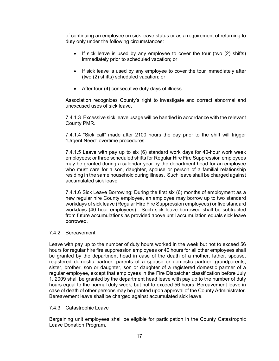of continuing an employee on sick leave status or as a requirement of returning to duty only under the following circumstances:

- If sick leave is used by any employee to cover the tour (two  $(2)$  shifts) immediately prior to scheduled vacation; or
- If sick leave is used by any employee to cover the tour immediately after (two (2) shifts) scheduled vacation; or
- After four (4) consecutive duty days of illness

Association recognizes County's right to investigate and correct abnormal and unexcused uses of sick leave.

7.4.1.3 Excessive sick leave usage will be handled in accordance with the relevant County PMR.

7.4.1.4 "Sick call" made after 2100 hours the day prior to the shift will trigger "Urgent Need" overtime procedures.

7.4.1.5 Leave with pay up to six (6) standard work days for 40-hour work week employees; or three scheduled shifts for Regular Hire Fire Suppression employees may be granted during a calendar year by the department head for an employee who must care for a son, daughter, spouse or person of a familial relationship residing in the same household during illness. Such leave shall be charged against accumulated sick leave.

7.4.1.6 Sick Leave Borrowing: During the first six (6) months of employment as a new regular hire County employee, an employee may borrow up to two standard workdays of sick leave (Regular Hire Fire Suppression employees) or five standard workdays (40 hour employees). Such sick leave borrowed shall be subtracted from future accumulations as provided above until accumulation equals sick leave borrowed.

## 7.4.2 Bereavement

Leave with pay up to the number of duty hours worked in the week but not to exceed 56 hours for regular hire fire suppression employees or 40 hours for all other employees shall be granted by the department head in case of the death of a mother, father, spouse, registered domestic partner, parents of a spouse or domestic partner, grandparents, sister, brother, son or daughter, son or daughter of a registered domestic partner of a regular employee, except that employees in the Fire Dispatcher classification before July 1, 2009 shall be granted by the department head leave with pay up to the number of duty hours equal to the normal duty week, but not to exceed 56 hours. Bereavement leave in case of death of other persons may be granted upon approval of the County Administrator. Bereavement leave shall be charged against accumulated sick leave.

#### 7.4.3 Catastrophic Leave

Bargaining unit employees shall be eligible for participation in the County Catastrophic Leave Donation Program.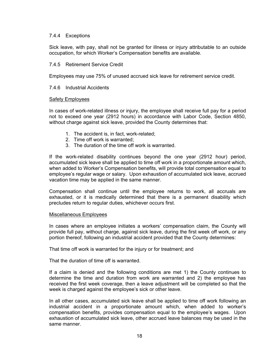#### 7.4.4 Exceptions

Sick leave, with pay, shall not be granted for illness or injury attributable to an outside occupation, for which Worker's Compensation benefits are available.

#### 7.4.5 Retirement Service Credit

Employees may use 75% of unused accrued sick leave for retirement service credit.

#### 7.4.6 Industrial Accidents

#### Safety Employees

In cases of work-related illness or injury, the employee shall receive full pay for a period not to exceed one year (2912 hours) in accordance with Labor Code, Section 4850, without charge against sick leave, provided the County determines that:

- 1. The accident is, in fact, work-related;
- 2. Time off work is warranted;
- 3. The duration of the time off work is warranted.

If the work-related disability continues beyond the one year (2912 hour) period, accumulated sick leave shall be applied to time off work in a proportionate amount which, when added to Worker's Compensation benefits, will provide total compensation equal to employee's regular wage or salary. Upon exhaustion of accumulated sick leave, accrued vacation time may be applied in the same manner.

Compensation shall continue until the employee returns to work, all accruals are exhausted, or it is medically determined that there is a permanent disability which precludes return to regular duties, whichever occurs first.

#### Miscellaneous Employees

In cases where an employee initiates a workers' compensation claim, the County will provide full pay, without charge, against sick leave, during the first week off work, or any portion thereof, following an industrial accident provided that the County determines:

That time off work is warranted for the injury or for treatment; and

That the duration of time off is warranted.

If a claim is denied and the following conditions are met 1) the County continues to determine the time and duration from work are warranted and 2) the employee has received the first week coverage, then a leave adjustment will be completed so that the week is charged against the employee's sick or other leave.

In all other cases, accumulated sick leave shall be applied to time off work following an industrial accident in a proportionate amount which, when added to worker's compensation benefits, provides compensation equal to the employee's wages. Upon exhaustion of accumulated sick leave, other accrued leave balances may be used in the same manner.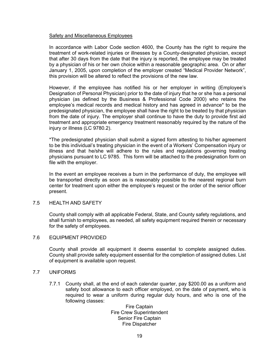#### Safety and Miscellaneous Employees

In accordance with Labor Code section 4600, the County has the right to require the treatment of work-related injuries or illnesses by a County-designated physician, except that after 30 days from the date that the injury is reported, the employee may be treated by a physician of his or her own choice within a reasonable geographic area. On or after January 1, 2005, upon completion of the employer created "Medical Provider Network", this provision will be altered to reflect the provisions of the new law.

However, if the employee has notified his or her employer in writing (Employee's Designation of Personal Physician) prior to the date of injury that he or she has a personal physician (as defined by the Business & Professional Code 2000) who retains the employee's medical records and medical history and has agreed in advance\* to be the predesignated physician, the employee shall have the right to be treated by that physician from the date of injury. The employer shall continue to have the duty to provide first aid treatment and appropriate emergency treatment reasonably required by the nature of the injury or illness (LC 9780.2).

\*The predesignated physician shall submit a signed form attesting to his/her agreement to be this individual's treating physician in the event of a Workers' Compensation injury or illness and that he/she will adhere to the rules and regulations governing treating physicians pursuant to LC 9785. This form will be attached to the predesignation form on file with the employer.

In the event an employee receives a burn in the performance of duty, the employee will be transported directly as soon as is reasonably possible to the nearest regional burn center for treatment upon either the employee's request or the order of the senior officer present.

#### 7.5 HEALTH AND SAFETY

County shall comply with all applicable Federal, State, and County safety regulations, and shall furnish to employees, as needed, all safety equipment required therein or necessary for the safety of employees.

#### 7.6 EQUIPMENT PROVIDED

County shall provide all equipment it deems essential to complete assigned duties. County shall provide safety equipment essential for the completion of assigned duties. List of equipment is available upon request.

#### 7.7 UNIFORMS

7.7.1 County shall, at the end of each calendar quarter, pay \$200.00 as a uniform and safety boot allowance to each officer employed, on the date of payment, who is required to wear a uniform during regular duty hours, and who is one of the following classes:

> Fire Captain Fire Crew Superintendent Senior Fire Captain Fire Dispatcher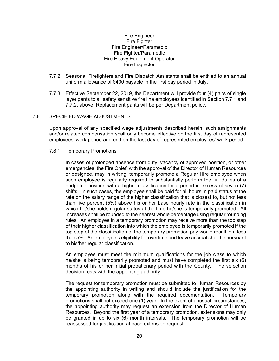#### Fire Engineer Fire Fighter Fire Engineer/Paramedic Fire Fighter/Paramedic Fire Heavy Equipment Operator Fire Inspector

- 7.7.2 Seasonal Firefighters and Fire Dispatch Assistants shall be entitled to an annual uniform allowance of \$400 payable in the first pay period in July.
- 7.7.3 Effective September 22, 2019, the Department will provide four (4) pairs of single layer pants to all safety sensitive fire line employees identified in Section 7.7.1 and 7.7.2, above. Replacement pants will be per Department policy.

#### 7.8 SPECIFIED WAGE ADJUSTMENTS

Upon approval of any specified wage adjustments described herein, such assignments and/or related compensation shall only become effective on the first day of represented employees' work period and end on the last day of represented employees' work period.

#### 7.8.1 Temporary Promotions

In cases of prolonged absence from duty, vacancy of approved position, or other emergencies, the Fire Chief, with the approval of the Director of Human Resources or designee, may in writing, temporarily promote a Regular Hire employee when such employee is regularly required to substantially perform the full duties of a budgeted position with a higher classification for a period in excess of seven (7) shifts. In such cases, the employee shall be paid for all hours in paid status at the rate on the salary range of the higher classification that is closest to, but not less than five percent (5%) above his or her base hourly rate in the classification in which he/she holds regular status at the time he/she is temporarily promoted. All increases shall be rounded to the nearest whole percentage using regular rounding rules. An employee in a temporary promotion may receive more than the top step of their higher classification into which the employee is temporarily promoted if the top step of the classification of the temporary promotion pay would result in a less than 5%. An employee's eligibility for overtime and leave accrual shall be pursuant to his/her regular classification.

An employee must meet the minimum qualifications for the job class to which he/she is being temporarily promoted and must have completed the first six (6) months of his or her initial probationary period with the County. The selection decision rests with the appointing authority.

The request for temporary promotion must be submitted to Human Resources by the appointing authority in writing and should include the justification for the temporary promotion along with the required documentation. Temporary promotions shall not exceed one (1) year. In the event of unusual circumstances, the appointing authority may request an extension from the Director of Human Resources. Beyond the first year of a temporary promotion, extensions may only be granted in up to six (6) month intervals. The temporary promotion will be reassessed for justification at each extension request.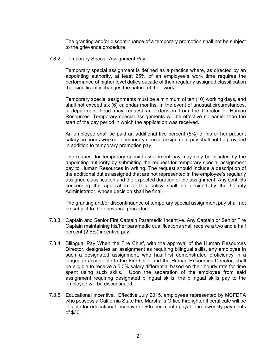The granting and/or discontinuance of a temporary promotion shall not be subject to the grievance procedure.

7.8.2 Temporary Special Assignment Pay

Temporary special assignment is defined as a practice where, as directed by an appointing authority, at least 25% of an employee's work time requires the performance of higher level duties outside of their regularly assigned classification that significantly changes the nature of their work.

Temporary special assignments must be a minimum of ten (10) working days, and shall not exceed six (6) calendar months. In the event of unusual circumstances, a department head may request an extension from the Director of Human Resources. Temporary special assignments will be effective no earlier than the start of the pay period in which the application was received.

An employee shall be paid an additional five percent (5%) of his or her present salary on hours worked. Temporary special assignment pay shall not be provided in addition to temporary promotion pay.

The request for temporary special assignment pay may only be initiated by the appointing authority by submitting the request for temporary special assignment pay to Human Resources in writing. The request should include a description of the additional duties assigned that are not represented in the employee's regularly assigned classification and the expected duration of the assignment. Any conflicts concerning the application of this policy shall be decided by the County Administrator, whose decision shall be final.

The granting and/or discontinuance of temporary special assignment pay shall not be subject to the grievance procedure.

- 7.8.3 Captain and Senior Fire Captain Paramedic Incentive. Any Captain or Senior Fire Captain maintaining his/her paramedic qualifications shall receive a two and a half percent (2.5%) incentive pay.
- 7.8.4 Bilingual Pay When the Fire Chief, with the approval of the Human Resources Director, designates an assignment as requiring bilingual skills, any employee in such a designated assignment, who has first demonstrated proficiency in a language acceptable to the Fire Chief and the Human Resources Director, shall be eligible to receive a 5.0% salary differential based on their hourly rate for time spent using such skills. Upon the separation of the employee from said assignment requiring designated bilingual skills, the bilingual skills pay to the employee will be discontinued.
- 7.8.5 Educational Incentive. Effective July 2015, employees represented by MCFDFA who possess a California State Fire Marshal's Office Firefighter II certificate will be eligible for educational incentive of \$65 per month payable in biweekly payments of \$30.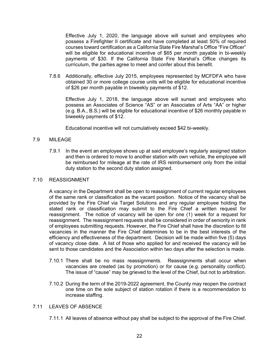Effective July 1, 2020, the language above will sunset and employees who possess a Firefighter II certificate and have completed at least 50% of required courses toward certification as a California State Fire Marshal's Office "Fire Officer" will be eligible for educational incentive of \$65 per month payable in bi-weekly payments of \$30. If the California State Fire Marshal's Office changes its curriculum, the parties agree to meet and confer about this benefit.

7.8.6 Additionally, effective July 2015, employees represented by MCFDFA who have obtained 30 or more college course units will be eligible for educational incentive of \$26 per month payable in biweekly payments of \$12.

Effective July 1, 2018, the language above will sunset and employees who possess an Associates of Science "AS" or an Associates of Arts "AA" or higher (e.g. B.A., B.S.) will be eligible for educational incentive of \$26 monthly payable in biweekly payments of \$12.

Educational incentive will not cumulatively exceed \$42 bi-weekly.

## 7.9 MILEAGE

7.9.1 In the event an employee shows up at said employee's regularly assigned station and then is ordered to move to another station with own vehicle, the employee will be reimbursed for mileage at the rate of IRS reimbursement only from the initial duty station to the second duty station assigned.

#### 7.10 REASSIGNMENT

A vacancy in the Department shall be open to reassignment of current regular employees of the same rank or classification as the vacant position. Notice of the vacancy shall be provided by the Fire Chief via Target Solutions and any regular employee holding the stated rank or classification may submit to the Fire Chief a written request for reassignment. The notice of vacancy will be open for one (1) week for a request for reassignment. The reassignment requests shall be considered in order of seniority in rank of employees submitting requests. However, the Fire Chief shall have the discretion to fill vacancies in the manner the Fire Chief determines to be in the best interests of the efficiency and effectiveness of the department. Decision will be made within five (5) days of vacancy close date. A list of those who applied for and received the vacancy will be sent to those candidates and the Association within two days after the selection is made.

- 7.10.1 There shall be no mass reassignments. Reassignments shall occur when vacancies are created (as by promotion) or for cause (e.g. personality conflict). The issue of "cause" may be grieved to the level of the Chief, but not to arbitration.
- 7.10.2 During the term of the 2019-2022 agreement, the County may reopen the contract one time on the sole subject of station rotation if there is a recommendation to increase staffing.

#### 7.11 LEAVES OF ABSENCE

7.11.1 All leaves of absence without pay shall be subject to the approval of the Fire Chief.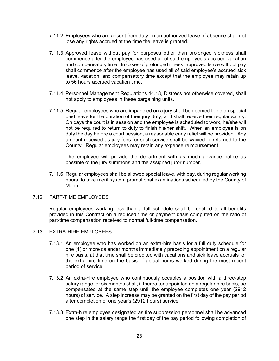- 7.11.2 Employees who are absent from duty on an authorized leave of absence shall not lose any rights accrued at the time the leave is granted.
- 7.11.3 Approved leave without pay for purposes other than prolonged sickness shall commence after the employee has used all of said employee's accrued vacation and compensatory time. In cases of prolonged illness, approved leave without pay shall commence after the employee has used all of said employee's accrued sick leave, vacation, and compensatory time except that the employee may retain up to 56 hours accrued vacation time.
- 7.11.4 Personnel Management Regulations 44.18, Distress not otherwise covered, shall not apply to employees in these bargaining units.
- 7.11.5 Regular employees who are impaneled on a jury shall be deemed to be on special paid leave for the duration of their jury duty, and shall receive their regular salary. On days the court is in session and the employee is scheduled to work, he/she will not be required to return to duty to finish his/her shift. When an employee is on duty the day before a court session, a reasonable early relief will be provided. Any amount received as jury fees for such service shall be waived or returned to the County. Regular employees may retain any expense reimbursement.

The employee will provide the department with as much advance notice as possible of the jury summons and the assigned juror number.

7.11.6 Regular employees shall be allowed special leave, with pay, during regular working hours, to take merit system promotional examinations scheduled by the County of Marin.

#### 7.12 PART-TIME EMPLOYEES

Regular employees working less than a full schedule shall be entitled to all benefits provided in this Contract on a reduced time or payment basis computed on the ratio of part-time compensation received to normal full-time compensation.

#### 7.13 EXTRA-HIRE EMPLOYEES

- 7.13.1 An employee who has worked on an extra-hire basis for a full duty schedule for one (1) or more calendar months immediately preceding appointment on a regular hire basis, at that time shall be credited with vacations and sick leave accruals for the extra-hire time on the basis of actual hours worked during the most recent period of service.
- 7.13.2 An extra-hire employee who continuously occupies a position with a three-step salary range for six months shall, if thereafter appointed on a regular hire basis, be compensated at the same step until the employee completes one year (2912 hours) of service. A step increase may be granted on the first day of the pay period after completion of one year's (2912 hours) service.
- 7.13.3 Extra-hire employee designated as fire suppression personnel shall be advanced one step in the salary range the first day of the pay period following completion of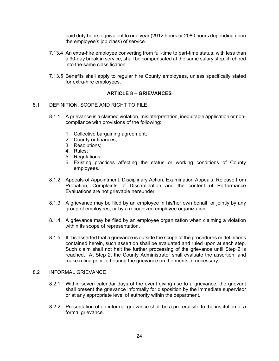paid duty hours equivalent to one year (2912 hours or 2080 hours depending upon the employee's job class) of service.

- 7.13.4 An extra-hire employee converting from full-time to part-time status, with less than a 90-day break in service, shall be compensated at the same salary step, if rehired into the same classification.
- 7.13.5 Benefits shall apply to regular hire County employees, unless specifically stated for extra-hire employees.

## **ARTICLE 8 – GRIEVANCES**

#### 8.1 DEFINITION, SCOPE AND RIGHT TO FILE

- 8.1.1 A grievance is a claimed violation, misinterpretation, inequitable application or noncompliance with provisions of the following:
	- 1. Collective bargaining agreement;
	- 2. County ordinances;
	- 3. Resolutions;
	- 4. Rules;
	- 5. Regulations;
	- 6. Existing practices affecting the status or working conditions of County employees.
- 8.1.2 Appeals of Appointment, Disciplinary Action, Examination Appeals, Release from Probation, Complaints of Discrimination and the content of Performance Evaluations are not grievable hereunder.
- 8.1.3 A grievance may be filed by an employee in his/her own behalf, or jointly by any group of employees, or by a recognized employee organization.
- 8.1.4 A grievance may be filed by an employee organization when claiming a violation within its scope of representation.
- 8.1.5 If it is asserted that a grievance is outside the scope of the procedures or definitions contained herein, such assertion shall be evaluated and ruled upon at each step. Such claim shall not halt the further processing of the grievance until Step 2 is reached. At Step 2, the County Administrator shall evaluate the assertion, and make ruling prior to hearing the grievance on the merits, if necessary.

## 8.2 INFORMAL GRIEVANCE

- 8.2.1 Within seven calendar days of the event giving rise to a grievance, the grievant shall present the grievance informally for disposition by the immediate supervisor or at any appropriate level of authority within the department.
- 8.2.2 Presentation of an informal grievance shall be a prerequisite to the institution of a formal grievance.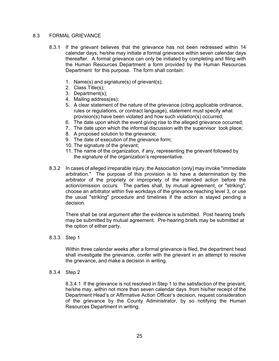#### 8.3 FORMAL GRIEVANCE

- 8.3.1 If the grievant believes that the grievance has not been redressed within 14 calendar days, he/she may initiate a formal grievance within seven calendar days thereafter. A formal grievance can only be initiated by completing and filing with the Human Resources Department a form provided by the Human Resources Department for this purpose. The form shall contain:
	- 1. Name(s) and signature(s) of grievant(s);
	- 2. Class Title(s);
	- 3. Department(s);
	- 4. Mailing address(es);
	- 5. A clear statement of the nature of the grievance (citing applicable ordinance, rules or regulations, or contract language), statement must specify what provision(s) have been violated and how such violation(s) occurred;
	- 6. The date upon which the event giving rise to the alleged grievance occurred;
	- 7. The date upon which the informal discussion with the supervisor took place;
	- 8. A proposed solution to the grievance;
	- 9. The date of execution of the grievance form;
	- 10. The signature of the grievant;
	- 11. The name of the organization, if any, representing the grievant followed by the signature of the organization's representative.
- 8.3.2 In cases of alleged irreparable injury, the Association (only) may invoke "immediate arbitration." The purpose of this provision is to have a determination by the arbitrator of the propriety or impropriety of the intended action before the action/omission occurs. The parties shall, by mutual agreement, or "striking", choose an arbitrator within five workdays of the grievance reaching level 3, or use the usual "striking" procedure and timelines if the action is stayed pending a decision.

There shall be oral argument after the evidence is submitted. Post hearing briefs may be submitted by mutual agreement. Pre-hearing briefs may be submitted at the option of either party.

#### 8.3.3 Step 1

Within three calendar weeks after a formal grievance is filed, the department head shall investigate the grievance, confer with the grievant in an attempt to resolve the grievance, and make a decision in writing.

8.3.4 Step 2

8.3.4.1 If the grievance is not resolved in Step 1 to the satisfaction of the grievant, he/she may, within not more than seven calendar days from his/her receipt of the Department Head's or Affirmative Action Officer's decision, request consideration of the grievance by the County Administrator, by so notifying the Human Resources Department in writing.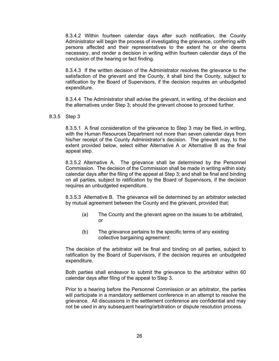8.3.4.2 Within fourteen calendar days after such notification, the County Administrator will begin the process of investigating the grievance, conferring with persons affected and their representatives to the extent he or she deems necessary, and render a decision in writing within fourteen calendar days of the conclusion of the hearing or fact finding.

8.3.4.3 If the written decision of the Administrator resolves the grievance to the satisfaction of the grievant and the County, it shall bind the County, subject to ratification by the Board of Supervisors, if the decision requires an unbudgeted expenditure.

8.3.4.4 The Administrator shall advise the grievant, in writing, of the decision and the alternatives under Step 3; should the grievant choose to proceed further.

8.3.5 Step 3

8.3.5.1 A final consideration of the grievance to Step 3 may be filed, in writing, with the Human Resources Department not more than seven calendar days from his/her receipt of the County Administrator's decision. The grievant may, to the extent provided below, select either Alternative A or Alternative B as the final appeal step.

8.3.5.2 Alternative A. The grievance shall be determined by the Personnel Commission. The decision of the Commission shall be made in writing within sixty calendar days after the filing of the appeal at Step 3; and shall be final and binding on all parties, subject to ratification by the Board of Supervisors, if the decision requires an unbudgeted expenditure.

8.3.5.3 Alternative B. The grievance will be determined by an arbitrator selected by mutual agreement between the County and the grievant, provided that:

- (a) The County and the grievant agree on the issues to be arbitrated, or
- (b) The grievance pertains to the specific terms of any existing collective bargaining agreement:

The decision of the arbitrator will be final and binding on all parties, subject to ratification by the Board of Supervisors, if the decision requires an unbudgeted expenditure.

Both parties shall endeavor to submit the grievance to the arbitrator within 60 calendar days after filing of the appeal to Step 3.

Prior to a hearing before the Personnel Commission or an arbitrator, the parties will participate in a mandatory settlement conference in an attempt to resolve the grievance. All discussions in the settlement conference are confidential and may not be used in any subsequent hearing/arbitration or dispute resolution process.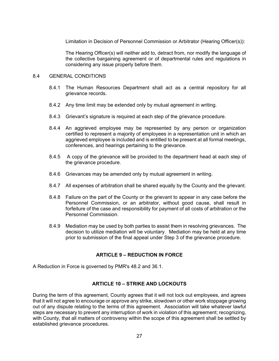Limitation in Decision of Personnel Commission or Arbitrator (Hearing Officer(s)):

The Hearing Officer(s) will neither add to, detract from, nor modify the language of the collective bargaining agreement or of departmental rules and regulations in considering any issue properly before them.

#### 8.4 GENERAL CONDITIONS

- 8.4.1 The Human Resources Department shall act as a central repository for all grievance records.
- 8.4.2 Any time limit may be extended only by mutual agreement in writing.
- 8.4.3 Grievant's signature is required at each step of the grievance procedure.
- 8.4.4 An aggrieved employee may be represented by any person or organization certified to represent a majority of employees in a representation unit in which an aggrieved employee is included and is entitled to be present at all formal meetings, conferences, and hearings pertaining to the grievance.
- 8.4.5 A copy of the grievance will be provided to the department head at each step of the grievance procedure.
- 8.4.6 Grievances may be amended only by mutual agreement in writing.
- 8.4.7 All expenses of arbitration shall be shared equally by the County and the grievant.
- 8.4.8 Failure on the part of the County or the grievant to appear in any case before the Personnel Commission, or an arbitrator, without good cause, shall result in forfeiture of the case and responsibility for payment of all costs of arbitration or the Personnel Commission.
- 8.4.9 Mediation may be used by both parties to assist them in resolving grievances. The decision to utilize mediation will be voluntary. Mediation may be held at any time prior to submission of the final appeal under Step 3 of the grievance procedure.

## **ARTICLE 9 – REDUCTION IN FORCE**

A Reduction in Force is governed by PMR's 48.2 and 36.1.

## **ARTICLE 10 – STRIKE AND LOCKOUTS**

During the term of this agreement, County agrees that it will not lock out employees, and agrees that it will not agree to encourage or approve any strike, slowdown or other work stoppage growing out of any dispute relating to the terms of this agreement. Association will take whatever lawful steps are necessary to prevent any interruption of work in violation of this agreement; recognizing, with County, that all matters of controversy within the scope of this agreement shall be settled by established grievance procedures.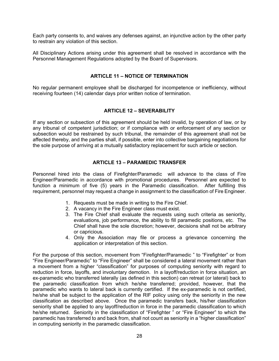Each party consents to, and waives any defenses against, an injunctive action by the other party to restrain any violation of this section.

All Disciplinary Actions arising under this agreement shall be resolved in accordance with the Personnel Management Regulations adopted by the Board of Supervisors.

## **ARTICLE 11 – NOTICE OF TERMINATION**

No regular permanent employee shall be discharged for incompetence or inefficiency, without receiving fourteen (14) calendar days prior written notice of termination.

## **ARTICLE 12 – SEVERABILITY**

If any section or subsection of this agreement should be held invalid, by operation of law, or by any tribunal of competent jurisdiction; or if compliance with or enforcement of any section or subsection would be restrained by such tribunal, the remainder of this agreement shall not be affected thereby, and the parties shall, if possible, enter into collective bargaining negotiations for the sole purpose of arriving at a mutually satisfactory replacement for such article or section.

#### **ARTICLE 13 – PARAMEDIC TRANSFER**

Personnel hired into the class of Firefighter/Paramedic will advance to the class of Fire Engineer/Paramedic in accordance with promotional procedures. Personnel are expected to function a minimum of five (5) years in the Paramedic classification. After fulfilling this requirement, personnel may request a change in assignment to the classification of Fire Engineer.

- 1. Requests must be made in writing to the Fire Chief.
- 2. A vacancy in the Fire Engineer class must exist.
- 3. The Fire Chief shall evaluate the requests using such criteria as seniority, evaluations, job performance, the ability to fill paramedic positions, etc. The Chief shall have the sole discretion; however, decisions shall not be arbitrary or capricious.
- 4. Only the Association may file or process a grievance concerning the application or interpretation of this section.

For the purpose of this section, movement from "Firefighter/Paramedic " to "Firefighter" or from "Fire Engineer/Paramedic" to "Fire Engineer" shall be considered a lateral movement rather than a movement from a higher "classification" for purposes of computing seniority with regard to reduction in force, layoffs, and involuntary demotion. In a layoff/reduction in force situation, an ex-paramedic who transferred laterally (as defined in this section) can retreat (or lateral) back to the paramedic classification from which he/she transferred; provided, however, that the paramedic who wants to lateral back is currently certified. If the ex-paramedic is not certified, he/she shall be subject to the application of the RIF policy using only the seniority in the new classification as described above. Once the paramedic transfers back, his/her classification seniority shall be applied to any layoff/reduction in force in the paramedic classification to which he/she returned. Seniority in the classification of "Firefighter " or "Fire Engineer" to which the paramedic has transferred to and back from, shall not count as seniority in a "higher classification" in computing seniority in the paramedic classification.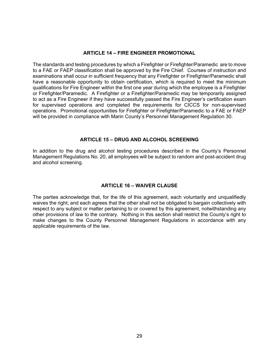## **ARTICLE 14 – FIRE ENGINEER PROMOTIONAL**

The standards and testing procedures by which a Firefighter or Firefighter/Paramedic are to move to a FAE or FAEP classification shall be approved by the Fire Chief. Courses of instruction and examinations shall occur in sufficient frequency that any Firefighter or Firefighter/Paramedic shall have a reasonable opportunity to obtain certification, which is required to meet the minimum qualifications for Fire Engineer within the first one year during which the employee is a Firefighter or Firefighter/Paramedic. A Firefighter or a Firefighter/Paramedic may be temporarily assigned to act as a Fire Engineer if they have successfully passed the Fire Engineer's certification exam for supervised operations and completed the requirements for CICCS for non-supervised operations. Promotional opportunities for Firefighter or Firefighter/Paramedic to a FAE or FAEP will be provided in compliance with Marin County's Personnel Management Regulation 30.

## **ARTICLE 15 – DRUG AND ALCOHOL SCREENING**

In addition to the drug and alcohol testing procedures described in the County's Personnel Management Regulations No. 20, all employees will be subject to random and post-accident drug and alcohol screening.

## **ARTICLE 16 – WAIVER CLAUSE**

The parties acknowledge that, for the life of this agreement, each voluntarily and unqualifiedly waives the right; and each agrees that the other shall not be obligated to bargain collectively with respect to any subject or matter pertaining to or covered by this agreement, notwithstanding any other provisions of law to the contrary. Nothing in this section shall restrict the County's right to make changes to the County Personnel Management Regulations in accordance with any applicable requirements of the law.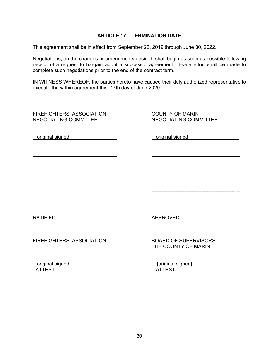#### **ARTICLE 17 – TERMINATION DATE**

This agreement shall be in effect from September 22, 2019 through June 30, 2022.

Negotiations, on the changes or amendments desired, shall begin as soon as possible following receipt of a request to bargain about a successor agreement. Every effort shall be made to complete such negotiations prior to the end of the contract term.

IN WITNESS WHEREOF, the parties hereto have caused their duly authorized representative to execute the within agreement this 17th day of June 2020.

 $\overline{\phantom{a}}$  , and the contract of the contract of the contract of the contract of the contract of the contract of the contract of the contract of the contract of the contract of the contract of the contract of the contrac

 $\overline{\phantom{a}}$  , and the contract of the contract of the contract of the contract of the contract of the contract of the contract of the contract of the contract of the contract of the contract of the contract of the contrac

 $\overline{\phantom{a}}$  , and the contract of the contract of the contract of the contract of the contract of the contract of the contract of the contract of the contract of the contract of the contract of the contract of the contrac

FIREFIGHTERS' ASSOCIATION COUNTY OF MARIN NEGOTIATING COMMTTEE NEGOTIATING COMMITTEE

[original signed] [original signed]

RATIFIED: APPROVED:

FIREFIGHTERS' ASSOCIATION BOARD OF SUPERVISORS

THE COUNTY OF MARIN

 [original signed] [original signed] ATTEST ATTEST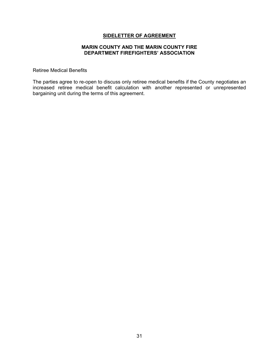#### **MARIN COUNTY AND THE MARIN COUNTY FIRE DEPARTMENT FIREFIGHTERS' ASSOCIATION**

Retiree Medical Benefits

The parties agree to re-open to discuss only retiree medical benefits if the County negotiates an increased retiree medical benefit calculation with another represented or unrepresented bargaining unit during the terms of this agreement.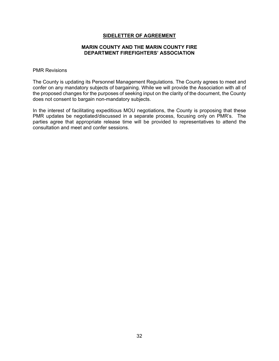#### **MARIN COUNTY AND THE MARIN COUNTY FIRE DEPARTMENT FIREFIGHTERS' ASSOCIATION**

#### PMR Revisions

The County is updating its Personnel Management Regulations. The County agrees to meet and confer on any mandatory subjects of bargaining. While we will provide the Association with all of the proposed changes for the purposes of seeking input on the clarity of the document, the County does not consent to bargain non-mandatory subjects.

In the interest of facilitating expeditious MOU negotiations, the County is proposing that these PMR updates be negotiated/discussed in a separate process, focusing only on PMR's. The parties agree that appropriate release time will be provided to representatives to attend the consultation and meet and confer sessions.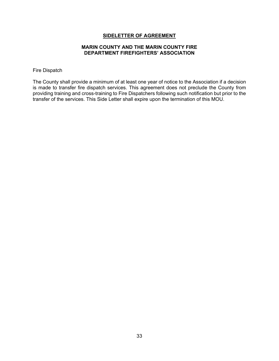#### **MARIN COUNTY AND THE MARIN COUNTY FIRE DEPARTMENT FIREFIGHTERS' ASSOCIATION**

#### Fire Dispatch

The County shall provide a minimum of at least one year of notice to the Association if a decision is made to transfer fire dispatch services. This agreement does not preclude the County from providing training and cross-training to Fire Dispatchers following such notification but prior to the transfer of the services. This Side Letter shall expire upon the termination of this MOU.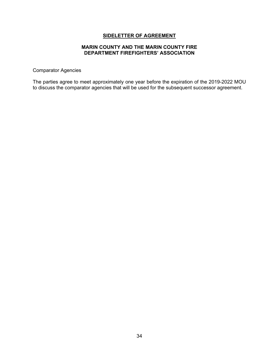#### **MARIN COUNTY AND THE MARIN COUNTY FIRE DEPARTMENT FIREFIGHTERS' ASSOCIATION**

Comparator Agencies

The parties agree to meet approximately one year before the expiration of the 2019-2022 MOU to discuss the comparator agencies that will be used for the subsequent successor agreement.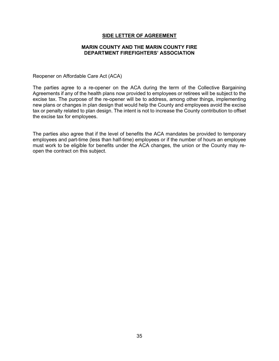#### **MARIN COUNTY AND THE MARIN COUNTY FIRE DEPARTMENT FIREFIGHTERS' ASSOCIATION**

Reopener on Affordable Care Act (ACA)

The parties agree to a re-opener on the ACA during the term of the Collective Bargaining Agreements if any of the health plans now provided to employees or retirees will be subject to the excise tax. The purpose of the re-opener will be to address, among other things, implementing new plans or changes in plan design that would help the County and employees avoid the excise tax or penalty related to plan design. The intent is not to increase the County contribution to offset the excise tax for employees.

The parties also agree that if the level of benefits the ACA mandates be provided to temporary employees and part-time (less than half-time) employees or if the number of hours an employee must work to be eligible for benefits under the ACA changes, the union or the County may reopen the contract on this subject.